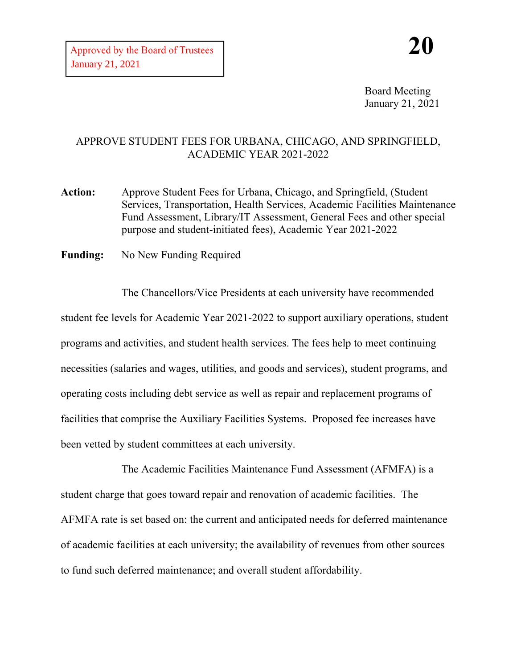Board Meeting January 21, 2021

## APPROVE STUDENT FEES FOR URBANA, CHICAGO, AND SPRINGFIELD, ACADEMIC YEAR 2021-2022

- **Action:** Approve Student Fees for Urbana, Chicago, and Springfield, (Student Services, Transportation, Health Services, Academic Facilities Maintenance Fund Assessment, Library/IT Assessment, General Fees and other special purpose and student-initiated fees), Academic Year 2021-2022
- **Funding:** No New Funding Required

The Chancellors/Vice Presidents at each university have recommended student fee levels for Academic Year 2021-2022 to support auxiliary operations, student programs and activities, and student health services. The fees help to meet continuing necessities (salaries and wages, utilities, and goods and services), student programs, and operating costs including debt service as well as repair and replacement programs of facilities that comprise the Auxiliary Facilities Systems. Proposed fee increases have been vetted by student committees at each university.

The Academic Facilities Maintenance Fund Assessment (AFMFA) is a student charge that goes toward repair and renovation of academic facilities. The AFMFA rate is set based on: the current and anticipated needs for deferred maintenance of academic facilities at each university; the availability of revenues from other sources to fund such deferred maintenance; and overall student affordability.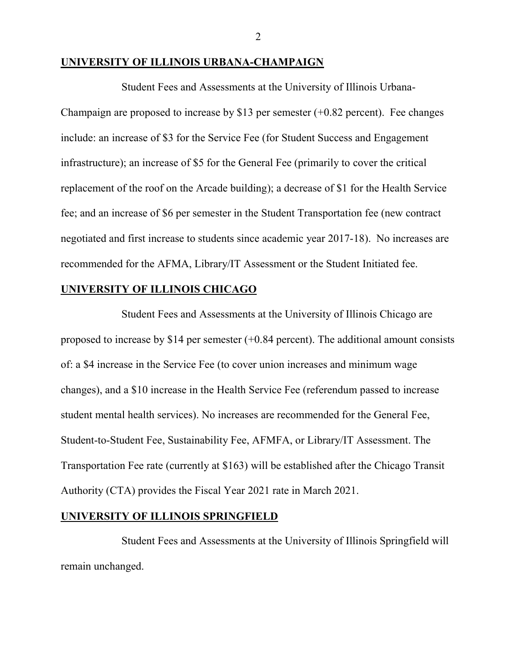## **UNIVERSITY OF ILLINOIS URBANA-CHAMPAIGN**

Student Fees and Assessments at the University of Illinois Urbana-Champaign are proposed to increase by \$13 per semester  $(+0.82$  percent). Fee changes include: an increase of \$3 for the Service Fee (for Student Success and Engagement infrastructure); an increase of \$5 for the General Fee (primarily to cover the critical replacement of the roof on the Arcade building); a decrease of \$1 for the Health Service fee; and an increase of \$6 per semester in the Student Transportation fee (new contract negotiated and first increase to students since academic year 2017-18). No increases are recommended for the AFMA, Library/IT Assessment or the Student Initiated fee.

## **UNIVERSITY OF ILLINOIS CHICAGO**

Student Fees and Assessments at the University of Illinois Chicago are proposed to increase by \$14 per semester  $(+0.84$  percent). The additional amount consists of: a \$4 increase in the Service Fee (to cover union increases and minimum wage changes), and a \$10 increase in the Health Service Fee (referendum passed to increase student mental health services). No increases are recommended for the General Fee, Student-to-Student Fee, Sustainability Fee, AFMFA, or Library/IT Assessment. The Transportation Fee rate (currently at \$163) will be established after the Chicago Transit Authority (CTA) provides the Fiscal Year 2021 rate in March 2021.

## **UNIVERSITY OF ILLINOIS SPRINGFIELD**

Student Fees and Assessments at the University of Illinois Springfield will remain unchanged.

2